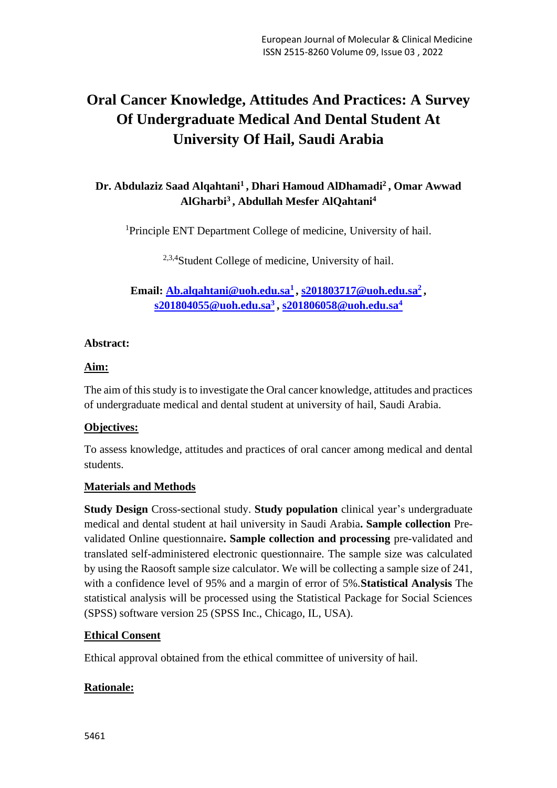# **Oral Cancer Knowledge, Attitudes And Practices: A Survey Of Undergraduate Medical And Dental Student At University Of Hail, Saudi Arabia**

# **Dr. Abdulaziz Saad Alqahtani<sup>1</sup> , Dhari Hamoud AlDhamadi<sup>2</sup> , Omar Awwad AlGharbi<sup>3</sup> , Abdullah Mesfer AlQahtani<sup>4</sup>**

<sup>1</sup>Principle ENT Department College of medicine, University of hail.

<sup>2,3,4</sup>Student College of medicine, University of hail.

**Email: [Ab.alqahtani@uoh.edu.sa](mailto:Ab.alqahtani@uoh.edu.sa1)<sup>1</sup> , [s201803717@uoh.edu.sa](mailto:s201803717@uoh.edu.sa2)<sup>2</sup> , [s201804055@uoh.edu.sa](mailto:s201804055@uoh.edu.sa3)<sup>3</sup> , [s201806058@uoh.edu.sa](mailto:s201806058@uoh.edu.sa)<sup>4</sup>**

# **Abstract:**

# **Aim:**

The aim of this study is to investigate the Oral cancer knowledge, attitudes and practices of undergraduate medical and dental student at university of hail, Saudi Arabia.

# **Objectives:**

To assess knowledge, attitudes and practices of oral cancer among medical and dental students.

# **Materials and Methods**

**Study Design** Cross-sectional study. **Study population** clinical year's undergraduate medical and dental student at hail university in Saudi Arabia**. Sample collection** Prevalidated Online questionnaire**. Sample collection and processing** pre-validated and translated self-administered electronic questionnaire. The sample size was calculated by using the Raosoft sample size calculator. We will be collecting a sample size of 241, with a confidence level of 95% and a margin of error of 5%.**Statistical Analysis** The statistical analysis will be processed using the Statistical Package for Social Sciences (SPSS) software version 25 (SPSS Inc., Chicago, IL, USA).

# **Ethical Consent**

Ethical approval obtained from the ethical committee of university of hail.

# **Rationale:**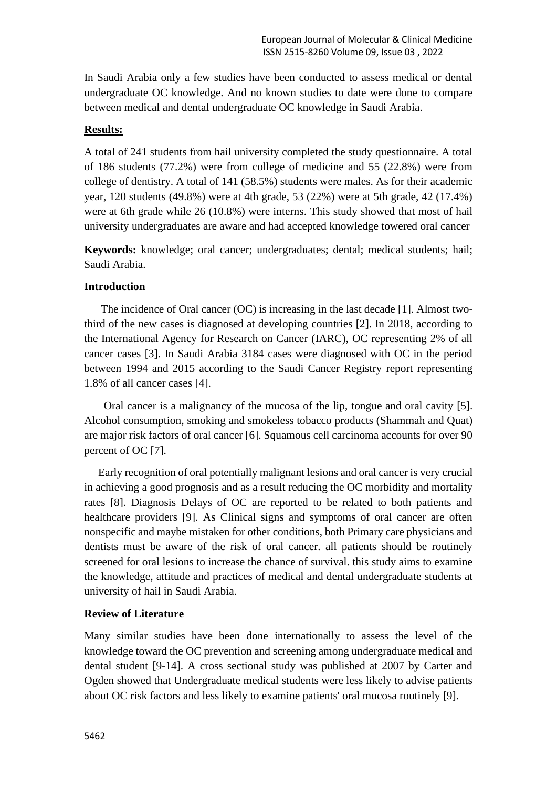In Saudi Arabia only a few studies have been conducted to assess medical or dental undergraduate OC knowledge. And no known studies to date were done to compare between medical and dental undergraduate OC knowledge in Saudi Arabia.

## **Results:**

A total of 241 students from hail university completed the study questionnaire. A total of 186 students (77.2%) were from college of medicine and 55 (22.8%) were from college of dentistry. A total of 141 (58.5%) students were males. As for their academic year, 120 students (49.8%) were at 4th grade, 53 (22%) were at 5th grade, 42 (17.4%) were at 6th grade while 26 (10.8%) were interns. This study showed that most of hail university undergraduates are aware and had accepted knowledge towered oral cancer

**Keywords:** knowledge; oral cancer; undergraduates; dental; medical students; hail; Saudi Arabia.

#### **Introduction**

 The incidence of Oral cancer (OC) is increasing in the last decade [1]. Almost twothird of the new cases is diagnosed at developing countries [2]. In 2018, according to the International Agency for Research on Cancer (IARC), OC representing 2% of all cancer cases [3]. In Saudi Arabia 3184 cases were diagnosed with OC in the period between 1994 and 2015 according to the Saudi Cancer Registry report representing 1.8% of all cancer cases [4].

 Oral cancer is a malignancy of the mucosa of the lip, tongue and oral cavity [5]. Alcohol consumption, smoking and smokeless tobacco products (Shammah and Quat) are major risk factors of oral cancer [6]. Squamous cell carcinoma accounts for over 90 percent of OC [7].

 Early recognition of oral potentially malignant lesions and oral cancer is very crucial in achieving a good prognosis and as a result reducing the OC morbidity and mortality rates [8]. Diagnosis Delays of OC are reported to be related to both patients and healthcare providers [9]. As Clinical signs and symptoms of oral cancer are often nonspecific and maybe mistaken for other conditions, both Primary care physicians and dentists must be aware of the risk of oral cancer. all patients should be routinely screened for oral lesions to increase the chance of survival. this study aims to examine the knowledge, attitude and practices of medical and dental undergraduate students at university of hail in Saudi Arabia.

# **Review of Literature**

Many similar studies have been done internationally to assess the level of the knowledge toward the OC prevention and screening among undergraduate medical and dental student [9-14]. A cross sectional study was published at 2007 by Carter and Ogden showed that Undergraduate medical students were less likely to advise patients about OC risk factors and less likely to examine patients' oral mucosa routinely [9].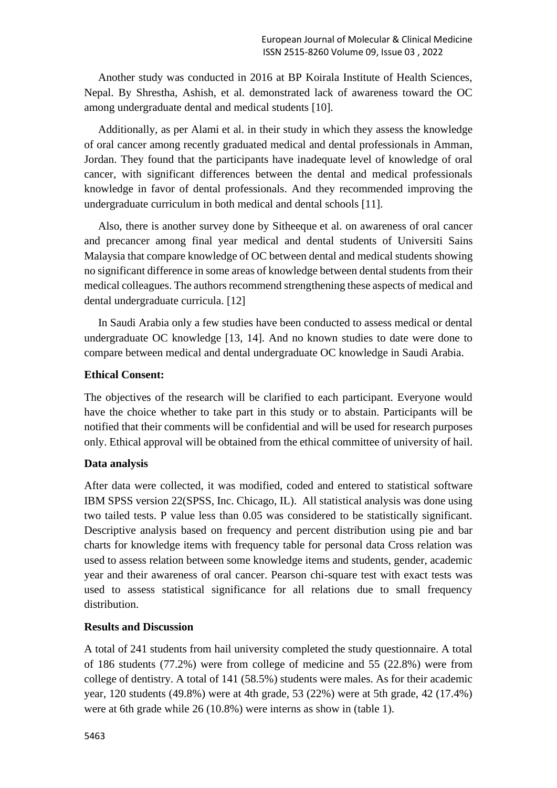Another study was conducted in 2016 at BP Koirala Institute of Health Sciences, Nepal. By Shrestha, Ashish, et al. demonstrated lack of awareness toward the OC among undergraduate dental and medical students [10].

 Additionally, as per Alami et al. in their study in which they assess the knowledge of oral cancer among recently graduated medical and dental professionals in Amman, Jordan. They found that the participants have inadequate level of knowledge of oral cancer, with significant differences between the dental and medical professionals knowledge in favor of dental professionals. And they recommended improving the undergraduate curriculum in both medical and dental schools [11].

 Also, there is another survey done by Sitheeque et al. on awareness of oral cancer and precancer among final year medical and dental students of Universiti Sains Malaysia that compare knowledge of OC between dental and medical students showing no significant difference in some areas of knowledge between dental students from their medical colleagues. The authors recommend strengthening these aspects of medical and dental undergraduate curricula. [12]

 In Saudi Arabia only a few studies have been conducted to assess medical or dental undergraduate OC knowledge [13, 14]. And no known studies to date were done to compare between medical and dental undergraduate OC knowledge in Saudi Arabia.

## **Ethical Consent:**

The objectives of the research will be clarified to each participant. Everyone would have the choice whether to take part in this study or to abstain. Participants will be notified that their comments will be confidential and will be used for research purposes only. Ethical approval will be obtained from the ethical committee of university of hail.

#### **Data analysis**

After data were collected, it was modified, coded and entered to statistical software IBM SPSS version 22(SPSS, Inc. Chicago, IL). All statistical analysis was done using two tailed tests. P value less than 0.05 was considered to be statistically significant. Descriptive analysis based on frequency and percent distribution using pie and bar charts for knowledge items with frequency table for personal data Cross relation was used to assess relation between some knowledge items and students, gender, academic year and their awareness of oral cancer. Pearson chi-square test with exact tests was used to assess statistical significance for all relations due to small frequency distribution.

#### **Results and Discussion**

A total of 241 students from hail university completed the study questionnaire. A total of 186 students (77.2%) were from college of medicine and 55 (22.8%) were from college of dentistry. A total of 141 (58.5%) students were males. As for their academic year, 120 students (49.8%) were at 4th grade, 53 (22%) were at 5th grade, 42 (17.4%) were at 6th grade while 26 (10.8%) were interns as show in (table 1).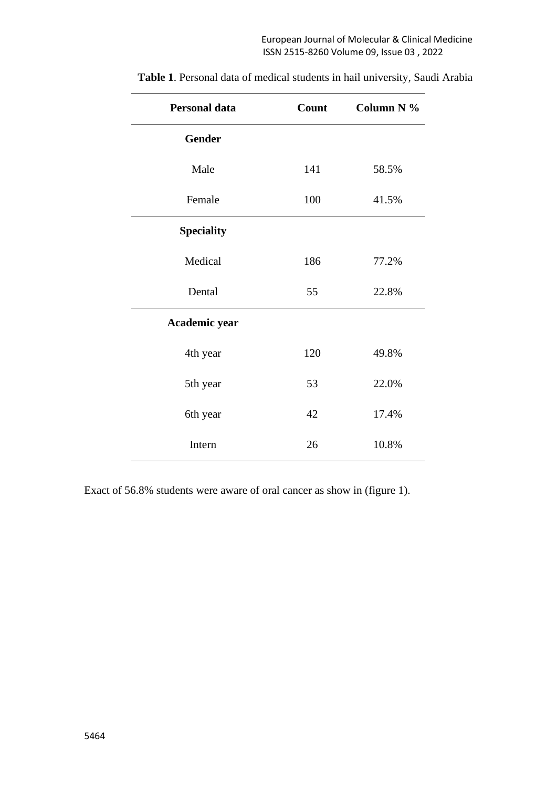| Personal data     | Count | Column N % |
|-------------------|-------|------------|
| Gender            |       |            |
| Male              | 141   | 58.5%      |
| Female            | 100   | 41.5%      |
| <b>Speciality</b> |       |            |
| Medical           | 186   | 77.2%      |
| Dental            | 55    | 22.8%      |
| Academic year     |       |            |
| 4th year          | 120   | 49.8%      |
| 5th year          | 53    | 22.0%      |
| 6th year          | 42    | 17.4%      |
| Intern            | 26    | 10.8%      |

**Table 1**. Personal data of medical students in hail university, Saudi Arabia

Exact of 56.8% students were aware of oral cancer as show in (figure 1).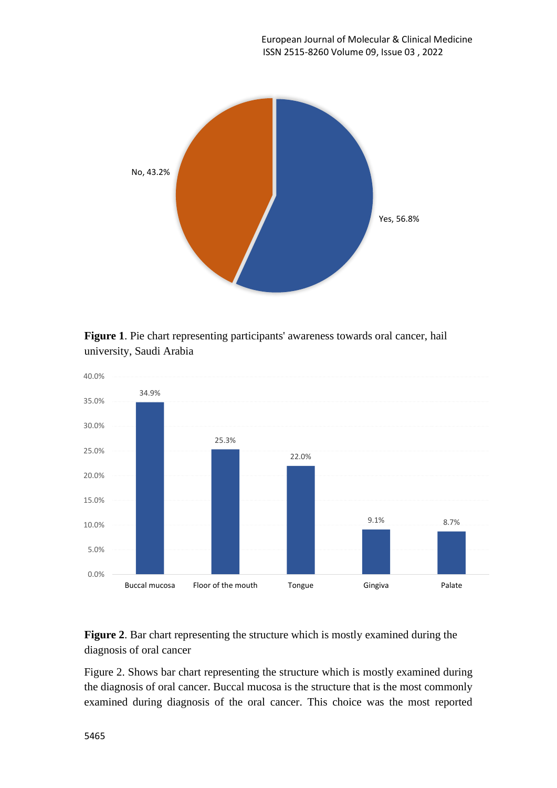

**Figure 1**. Pie chart representing participants' awareness towards oral cancer, hail university, Saudi Arabia



**Figure 2**. Bar chart representing the structure which is mostly examined during the diagnosis of oral cancer

Figure 2. Shows bar chart representing the structure which is mostly examined during the diagnosis of oral cancer. Buccal mucosa is the structure that is the most commonly examined during diagnosis of the oral cancer. This choice was the most reported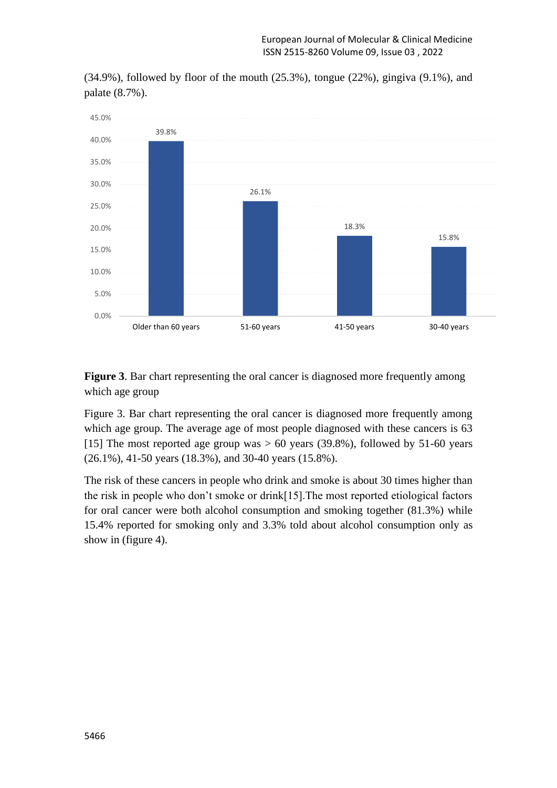



**Figure 3**. Bar chart representing the oral cancer is diagnosed more frequently among which age group

Figure 3. Bar chart representing the oral cancer is diagnosed more frequently among which age group. The average age of most people diagnosed with these cancers is 63 [15] The most reported age group was  $> 60$  years (39.8%), followed by 51-60 years (26.1%), 41-50 years (18.3%), and 30-40 years (15.8%).

The risk of these cancers in people who drink and smoke is about 30 times higher than the risk in people who don't smoke or drink[15].The most reported etiological factors for oral cancer were both alcohol consumption and smoking together (81.3%) while 15.4% reported for smoking only and 3.3% told about alcohol consumption only as show in (figure 4).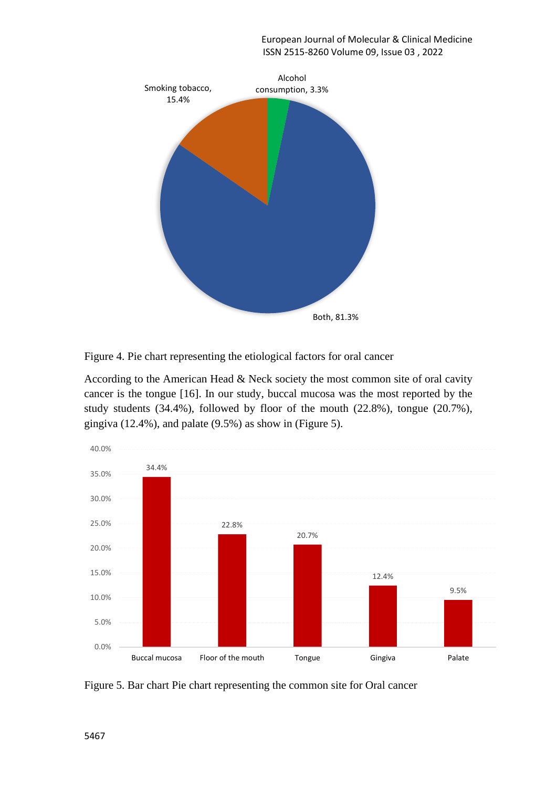

Figure 4. Pie chart representing the etiological factors for oral cancer

According to the American Head & Neck society the most common site of oral cavity cancer is the tongue [16]. In our study, buccal mucosa was the most reported by the study students (34.4%), followed by floor of the mouth (22.8%), tongue (20.7%), gingiva (12.4%), and palate (9.5%) as show in (Figure 5).



Figure 5. Bar chart Pie chart representing the common site for Oral cancer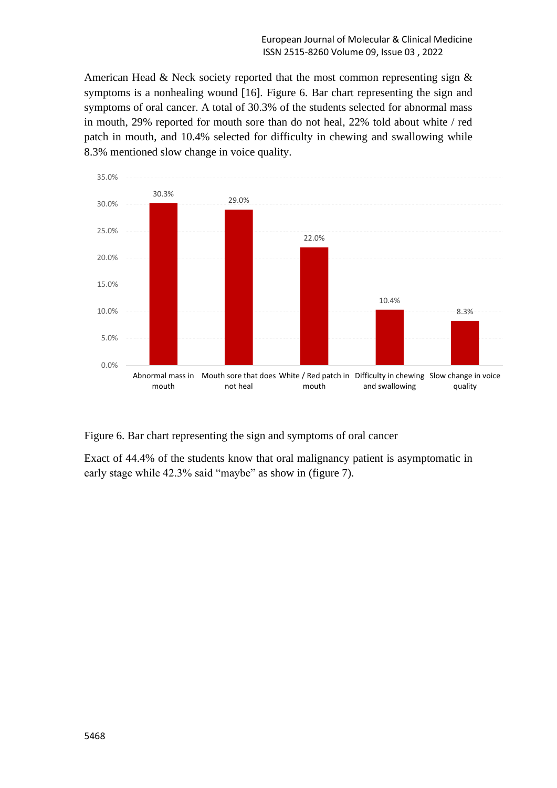American Head & Neck society reported that the most common representing sign & symptoms is a nonhealing wound [16]. Figure 6. Bar chart representing the sign and symptoms of oral cancer. A total of 30.3% of the students selected for abnormal mass in mouth, 29% reported for mouth sore than do not heal, 22% told about white / red patch in mouth, and 10.4% selected for difficulty in chewing and swallowing while 8.3% mentioned slow change in voice quality.



Figure 6. Bar chart representing the sign and symptoms of oral cancer

Exact of 44.4% of the students know that oral malignancy patient is asymptomatic in early stage while 42.3% said "maybe" as show in (figure 7).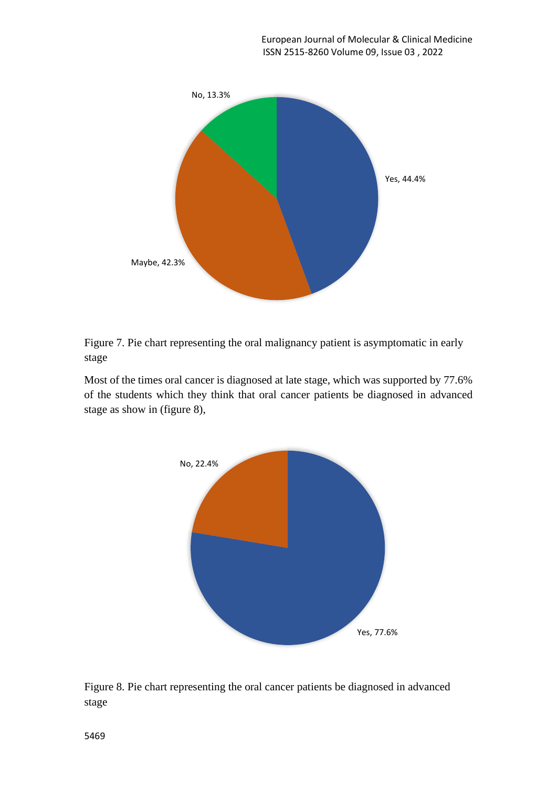

Figure 7. Pie chart representing the oral malignancy patient is asymptomatic in early stage

Most of the times oral cancer is diagnosed at late stage, which was supported by 77.6% of the students which they think that oral cancer patients be diagnosed in advanced stage as show in (figure 8),



Figure 8. Pie chart representing the oral cancer patients be diagnosed in advanced stage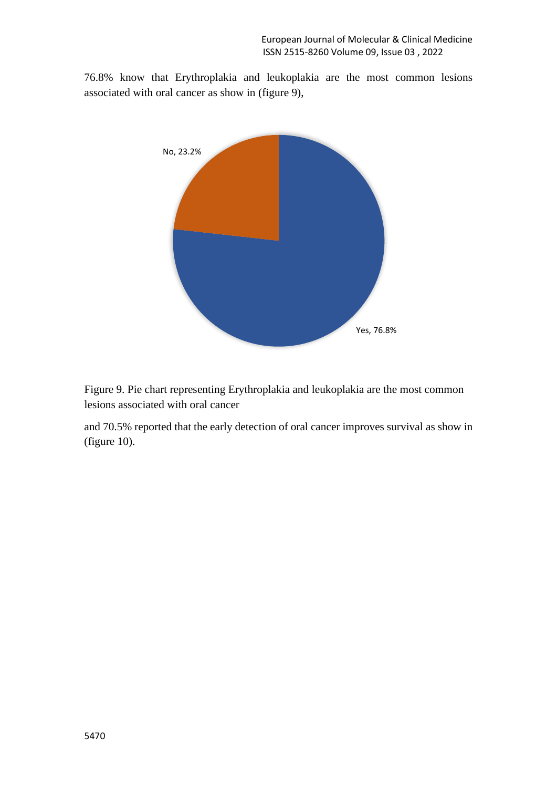76.8% know that Erythroplakia and leukoplakia are the most common lesions associated with oral cancer as show in (figure 9),



Figure 9. Pie chart representing Erythroplakia and leukoplakia are the most common lesions associated with oral cancer

and 70.5% reported that the early detection of oral cancer improves survival as show in (figure 10).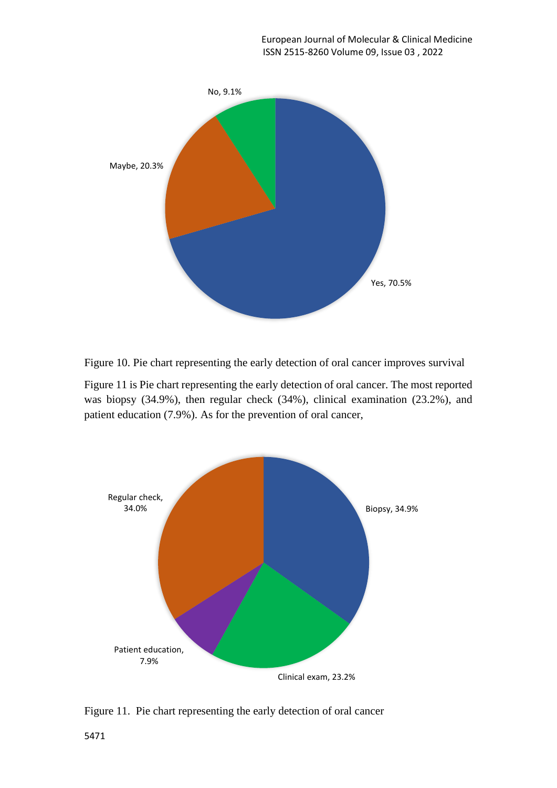

Figure 10. Pie chart representing the early detection of oral cancer improves survival

Figure 11 is Pie chart representing the early detection of oral cancer. The most reported was biopsy (34.9%), then regular check (34%), clinical examination (23.2%), and patient education (7.9%). As for the prevention of oral cancer,



Figure 11. Pie chart representing the early detection of oral cancer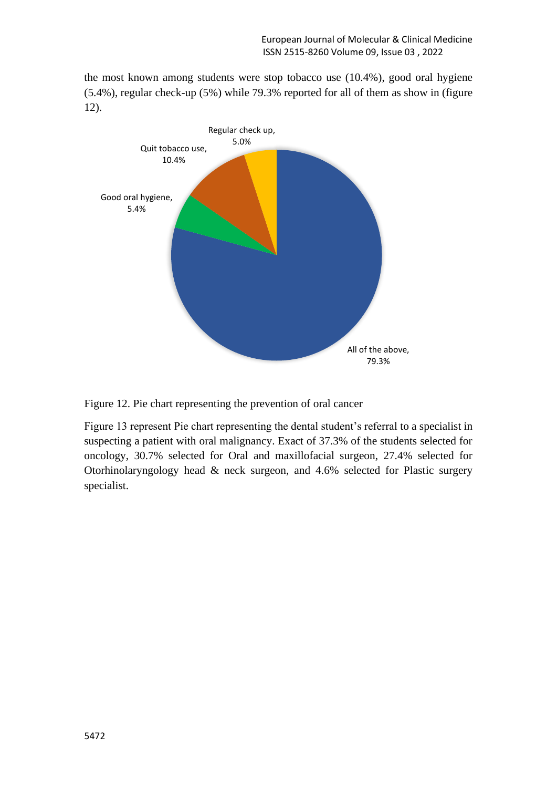the most known among students were stop tobacco use (10.4%), good oral hygiene (5.4%), regular check-up (5%) while 79.3% reported for all of them as show in (figure 12).



Figure 12. Pie chart representing the prevention of oral cancer

Figure 13 represent Pie chart representing the dental student's referral to a specialist in suspecting a patient with oral malignancy. Exact of 37.3% of the students selected for oncology, 30.7% selected for Oral and maxillofacial surgeon, 27.4% selected for Otorhinolaryngology head & neck surgeon, and 4.6% selected for Plastic surgery specialist.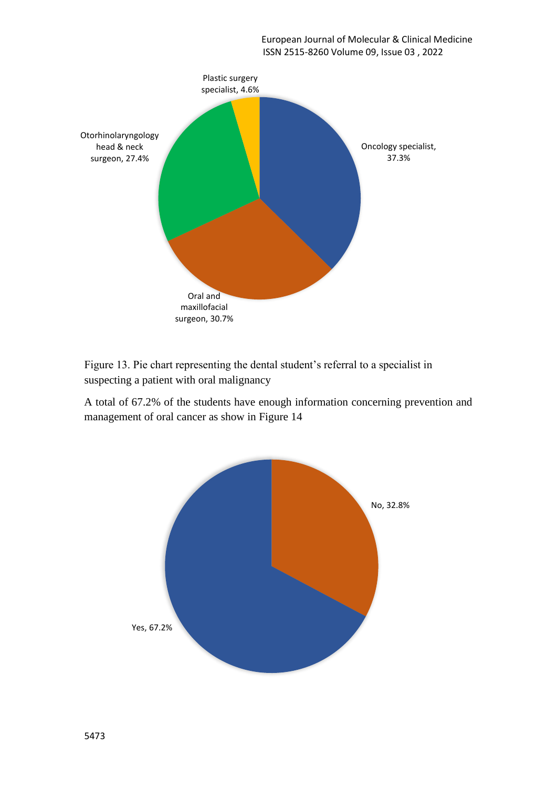

Figure 13. Pie chart representing the dental student's referral to a specialist in suspecting a patient with oral malignancy

A total of 67.2% of the students have enough information concerning prevention and management of oral cancer as show in Figure 14

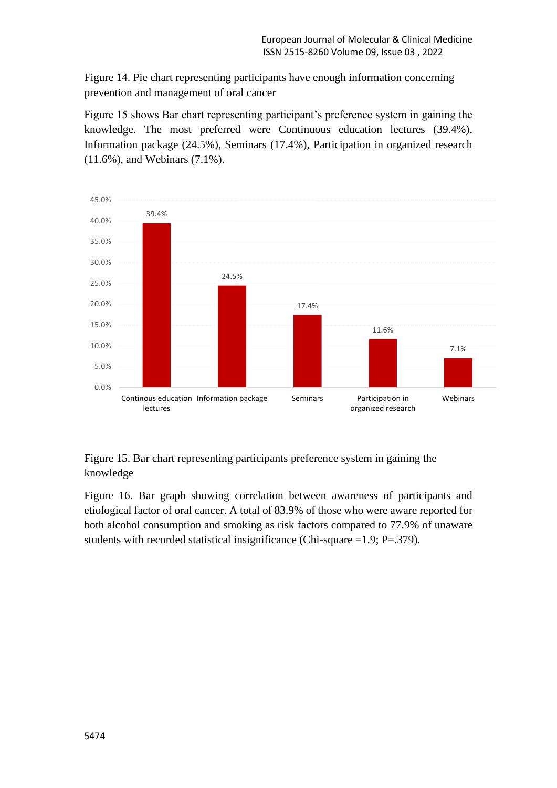Figure 14. Pie chart representing participants have enough information concerning prevention and management of oral cancer

Figure 15 shows Bar chart representing participant's preference system in gaining the knowledge. The most preferred were Continuous education lectures (39.4%), Information package (24.5%), Seminars (17.4%), Participation in organized research (11.6%), and Webinars (7.1%).



Figure 15. Bar chart representing participants preference system in gaining the knowledge

Figure 16. Bar graph showing correlation between awareness of participants and etiological factor of oral cancer. A total of 83.9% of those who were aware reported for both alcohol consumption and smoking as risk factors compared to 77.9% of unaware students with recorded statistical insignificance (Chi-square =1.9; P=.379).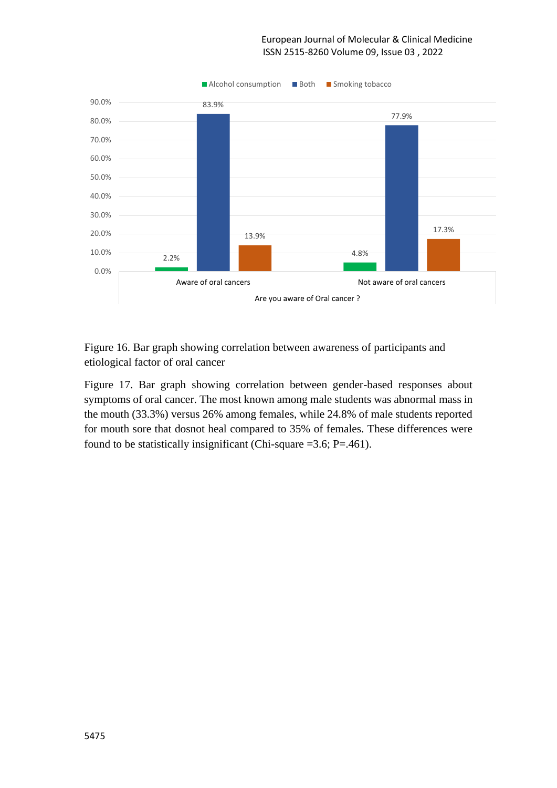

Figure 16. Bar graph showing correlation between awareness of participants and etiological factor of oral cancer

Figure 17. Bar graph showing correlation between gender-based responses about symptoms of oral cancer. The most known among male students was abnormal mass in the mouth (33.3%) versus 26% among females, while 24.8% of male students reported for mouth sore that dosnot heal compared to 35% of females. These differences were found to be statistically insignificant (Chi-square =3.6; P=.461).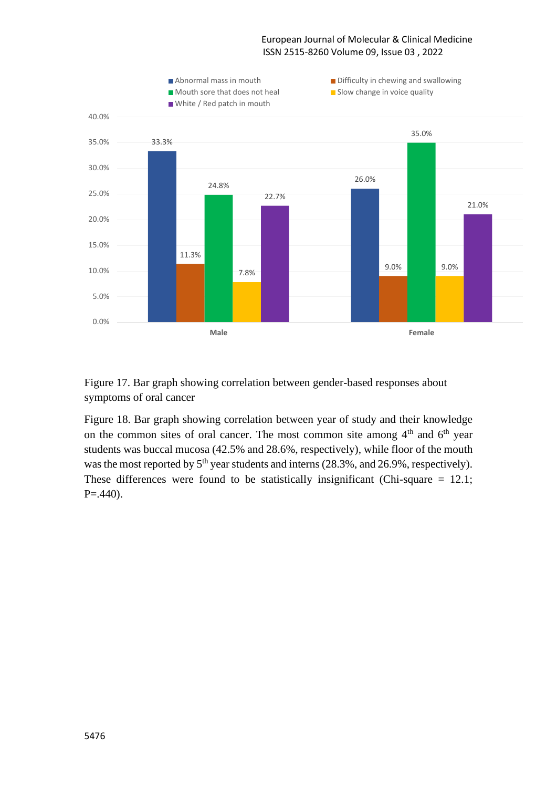

Figure 17. Bar graph showing correlation between gender-based responses about symptoms of oral cancer

Figure 18. Bar graph showing correlation between year of study and their knowledge on the common sites of oral cancer. The most common site among  $4<sup>th</sup>$  and  $6<sup>th</sup>$  year students was buccal mucosa (42.5% and 28.6%, respectively), while floor of the mouth was the most reported by  $5<sup>th</sup>$  year students and interns (28.3%, and 26.9%, respectively). These differences were found to be statistically insignificant (Chi-square  $= 12.1$ ;  $P = .440$ ).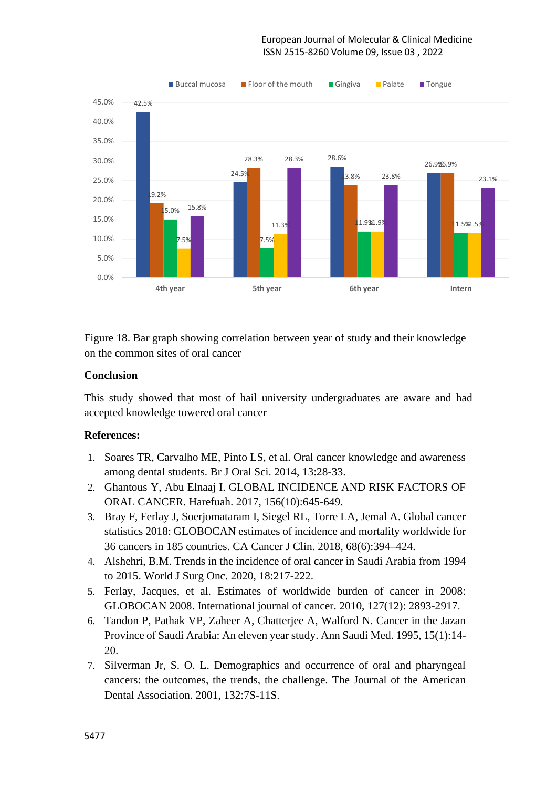

Figure 18. Bar graph showing correlation between year of study and their knowledge on the common sites of oral cancer

#### **Conclusion**

This study showed that most of hail university undergraduates are aware and had accepted knowledge towered oral cancer

#### **References:**

- 1. Soares TR, Carvalho ME, Pinto LS, et al. Oral cancer knowledge and awareness among dental students. Br J Oral Sci. 2014, 13:28-33.
- 2. Ghantous Y, Abu Elnaaj I. GLOBAL INCIDENCE AND RISK FACTORS OF ORAL CANCER. Harefuah. 2017, 156(10):645-649.
- 3. Bray F, Ferlay J, Soerjomataram I, Siegel RL, Torre LA, Jemal A. Global cancer statistics 2018: GLOBOCAN estimates of incidence and mortality worldwide for 36 cancers in 185 countries. CA Cancer J Clin. 2018, 68(6):394–424.
- 4. Alshehri, B.M. Trends in the incidence of oral cancer in Saudi Arabia from 1994 to 2015. World J Surg Onc. 2020, 18:217-222.
- 5. Ferlay, Jacques, et al. Estimates of worldwide burden of cancer in 2008: GLOBOCAN 2008. International journal of cancer. 2010, 127(12): 2893-2917.
- 6. Tandon P, Pathak VP, Zaheer A, Chatterjee A, Walford N. Cancer in the Jazan Province of Saudi Arabia: An eleven year study. Ann Saudi Med. 1995, 15(1):14- 20.
- 7. Silverman Jr, S. O. L. Demographics and occurrence of oral and pharyngeal cancers: the outcomes, the trends, the challenge. The Journal of the American Dental Association. 2001, 132:7S-11S.